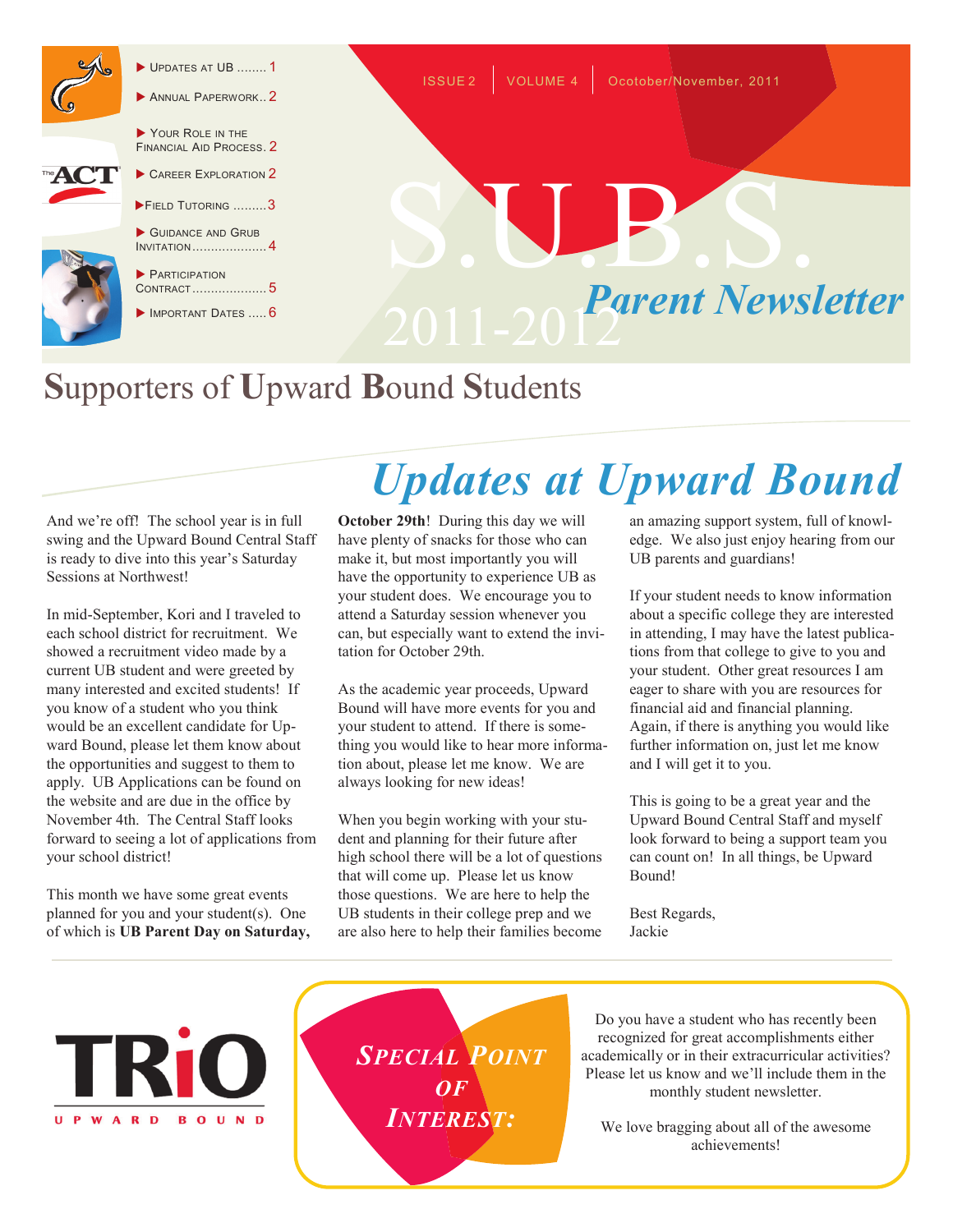

- UPDATES AT UB ........ 1
- ANNUAL PAPERWORK.. 2

YOUR ROLE IN THE FINANCIAL AID PROCESS. 2



- FIELD TUTORING .........3
- GUIDANCE AND GRUB INVITATION .................... 4

**PARTICIPATION** CONTRACT .................... 5

IMPORTANT DATES ..... 6



## **S**upporters of **U**pward **B**ound **S**tudents

And we're off! The school year is in full swing and the Upward Bound Central Staff is ready to dive into this year's Saturday Sessions at Northwest!

In mid-September, Kori and I traveled to each school district for recruitment. We showed a recruitment video made by a current UB student and were greeted by many interested and excited students! If you know of a student who you think would be an excellent candidate for Upward Bound, please let them know about the opportunities and suggest to them to apply. UB Applications can be found on the website and are due in the office by November 4th. The Central Staff looks forward to seeing a lot of applications from your school district!

This month we have some great events planned for you and your student(s). One of which is **UB Parent Day on Saturday,** 

# *Updates at Upward Bound*

**October 29th**! During this day we will have plenty of snacks for those who can make it, but most importantly you will have the opportunity to experience UB as your student does. We encourage you to attend a Saturday session whenever you can, but especially want to extend the invitation for October 29th.

As the academic year proceeds, Upward Bound will have more events for you and your student to attend. If there is something you would like to hear more information about, please let me know. We are always looking for new ideas!

When you begin working with your student and planning for their future after high school there will be a lot of questions that will come up. Please let us know those questions. We are here to help the UB students in their college prep and we are also here to help their families become

an amazing support system, full of knowledge. We also just enjoy hearing from our UB parents and guardians!

If your student needs to know information about a specific college they are interested in attending, I may have the latest publications from that college to give to you and your student. Other great resources I am eager to share with you are resources for financial aid and financial planning. Again, if there is anything you would like further information on, just let me know and I will get it to you.

This is going to be a great year and the Upward Bound Central Staff and myself look forward to being a support team you can count on! In all things, be Upward Bound!

Best Regards, Jackie



*SPECIAL POINT OF INTEREST:*

Do you have a student who has recently been recognized for great accomplishments either academically or in their extracurricular activities? Please let us know and we'll include them in the monthly student newsletter.

We love bragging about all of the awesome achievements!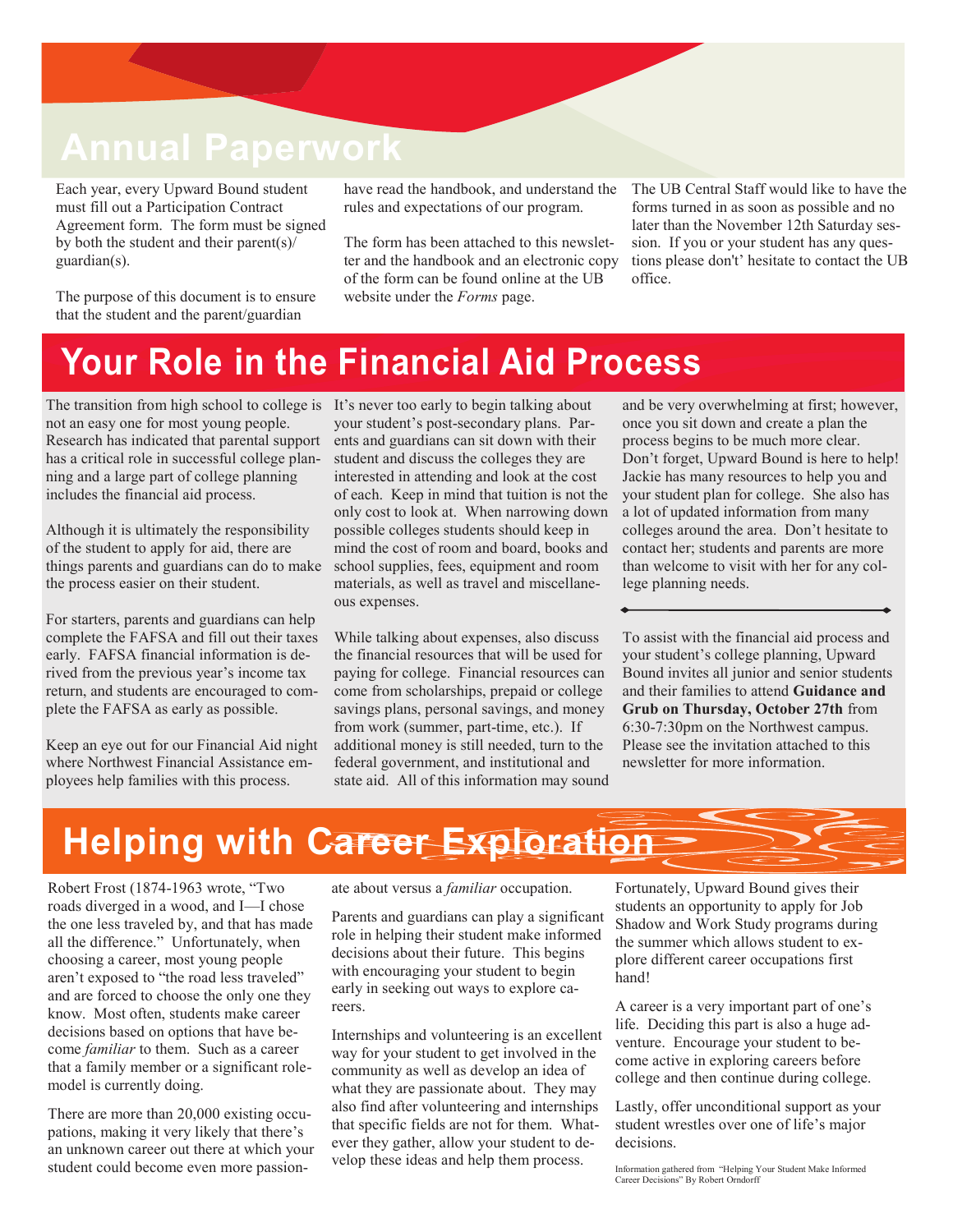### **Annual Paperwork**

Each year, every Upward Bound student must fill out a Participation Contract Agreement form. The form must be signed by both the student and their parent(s)/ guardian(s).

The purpose of this document is to ensure that the student and the parent/guardian

have read the handbook, and understand the rules and expectations of our program.

The form has been attached to this newsletter and the handbook and an electronic copy of the form can be found online at the UB website under the *Forms* page.

The UB Central Staff would like to have the forms turned in as soon as possible and no later than the November 12th Saturday session. If you or your student has any questions please don't' hesitate to contact the UB office.

### **Your Role in the Financial Aid Process**

The transition from high school to college is It's never too early to begin talking about not an easy one for most young people. Research has indicated that parental support has a critical role in successful college planning and a large part of college planning includes the financial aid process.

Although it is ultimately the responsibility of the student to apply for aid, there are things parents and guardians can do to make the process easier on their student.

For starters, parents and guardians can help complete the FAFSA and fill out their taxes early. FAFSA financial information is derived from the previous year's income tax return, and students are encouraged to complete the FAFSA as early as possible.

Keep an eye out for our Financial Aid night where Northwest Financial Assistance employees help families with this process.

your student's post-secondary plans. Parents and guardians can sit down with their student and discuss the colleges they are interested in attending and look at the cost of each. Keep in mind that tuition is not the only cost to look at. When narrowing down possible colleges students should keep in mind the cost of room and board, books and school supplies, fees, equipment and room materials, as well as travel and miscellaneous expenses.

While talking about expenses, also discuss the financial resources that will be used for paying for college. Financial resources can come from scholarships, prepaid or college savings plans, personal savings, and money from work (summer, part-time, etc.). If additional money is still needed, turn to the federal government, and institutional and state aid. All of this information may sound and be very overwhelming at first; however, once you sit down and create a plan the process begins to be much more clear. Don't forget, Upward Bound is here to help! Jackie has many resources to help you and your student plan for college. She also has a lot of updated information from many colleges around the area. Don't hesitate to contact her; students and parents are more than welcome to visit with her for any college planning needs.

To assist with the financial aid process and your student's college planning, Upward Bound invites all junior and senior students and their families to attend **Guidance and Grub on Thursday, October 27th** from 6:30-7:30pm on the Northwest campus. Please see the invitation attached to this newsletter for more information.

### **Helping with Career Exploration**

Robert Frost (1874-1963 wrote, "Two roads diverged in a wood, and I—I chose the one less traveled by, and that has made all the difference." Unfortunately, when choosing a career, most young people aren't exposed to "the road less traveled" and are forced to choose the only one they know. Most often, students make career decisions based on options that have become *familiar* to them. Such as a career that a family member or a significant rolemodel is currently doing.

There are more than 20,000 existing occupations, making it very likely that there's an unknown career out there at which your student could become even more passionate about versus a *familiar* occupation.

Parents and guardians can play a significant role in helping their student make informed decisions about their future. This begins with encouraging your student to begin early in seeking out ways to explore careers.

Internships and volunteering is an excellent way for your student to get involved in the community as well as develop an idea of what they are passionate about. They may also find after volunteering and internships that specific fields are not for them. Whatever they gather, allow your student to develop these ideas and help them process.

Fortunately, Upward Bound gives their students an opportunity to apply for Job Shadow and Work Study programs during the summer which allows student to explore different career occupations first hand!

A career is a very important part of one's life. Deciding this part is also a huge adventure. Encourage your student to become active in exploring careers before college and then continue during college.

Lastly, offer unconditional support as your student wrestles over one of life's major decisions.

Information gathered from "Helping Your Student Make Informed Career Decisions" By Robert Orndorff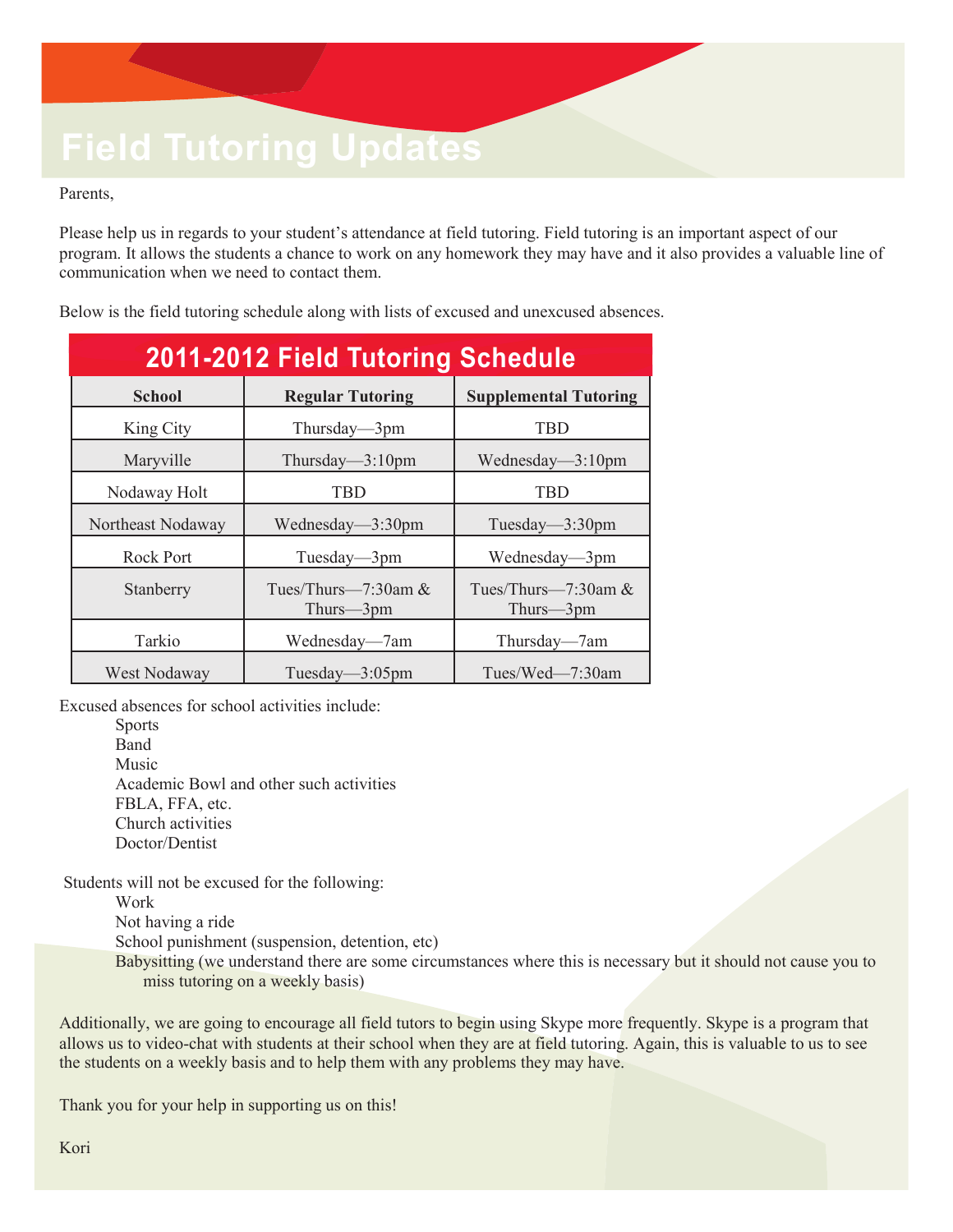## **Field Tutoring Updates**

Parents,

Please help us in regards to your student's attendance at field tutoring. Field tutoring is an important aspect of our program. It allows the students a chance to work on any homework they may have and it also provides a valuable line of communication when we need to contact them.

Below is the field tutoring schedule along with lists of excused and unexcused absences.

| 2011-2012 Field Tutoring Schedule |                                      |                                      |
|-----------------------------------|--------------------------------------|--------------------------------------|
| <b>School</b>                     | <b>Regular Tutoring</b>              | <b>Supplemental Tutoring</b>         |
| King City                         | Thursday—3pm                         | <b>TBD</b>                           |
| Maryville                         | Thursday— $3:10$ pm                  | Wednesday— $3:10$ pm                 |
| Nodaway Holt                      | <b>TBD</b>                           | <b>TBD</b>                           |
| Northeast Nodaway                 | Wednesday—3:30pm                     | Tuesday— $3:30$ pm                   |
| <b>Rock Port</b>                  | Tuesday— $3$ pm                      | Wednesday—3pm                        |
| Stanberry                         | Tues/Thurs— $7:30$ am &<br>Thurs-3pm | Tues/Thurs— $7:30$ am &<br>Thurs—3pm |
| Tarkio                            | Wednesday—7am                        | Thursday—7am                         |
| West Nodaway                      | Tuesday— $3:05$ pm                   | Tues/Wed— $7:30$ am                  |

Excused absences for school activities include:

Sports Band Music Academic Bowl and other such activities FBLA, FFA, etc. Church activities Doctor/Dentist

Students will not be excused for the following:

Work

Not having a ride

School punishment (suspension, detention, etc)

Babysitting (we understand there are some circumstances where this is necessary but it should not cause you to miss tutoring on a weekly basis)

Additionally, we are going to encourage all field tutors to begin using Skype more frequently. Skype is a program that allows us to video-chat with students at their school when they are at field tutoring. Again, this is valuable to us to see the students on a weekly basis and to help them with any problems they may have.

Thank you for your help in supporting us on this!

Kori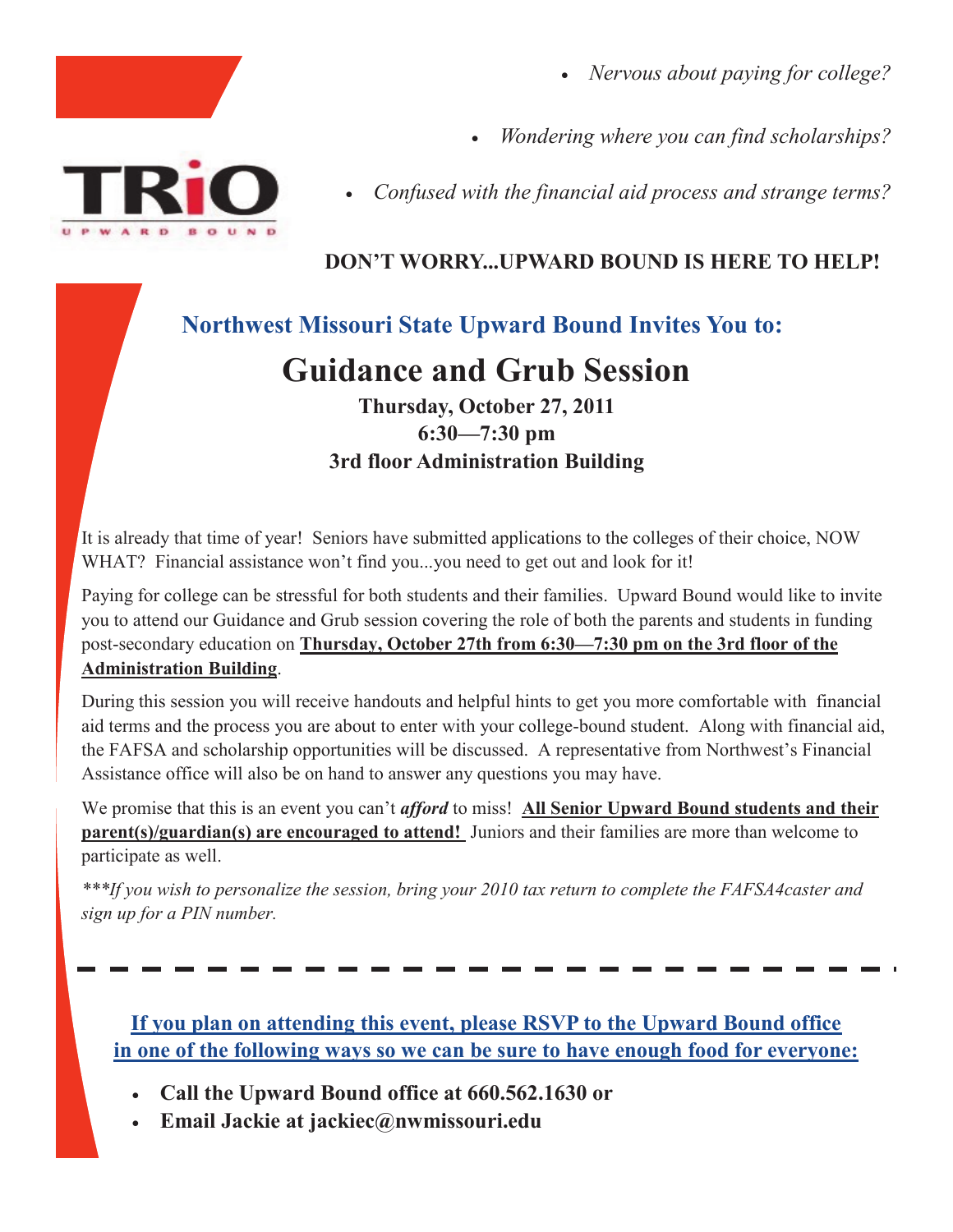- *Nervous about paying for college?*
- *Wondering where you can find scholarships?*
- *Confused with the financial aid process and strange terms?*

#### **DON'T WORRY...UPWARD BOUND IS HERE TO HELP!**

#### **Northwest Missouri State Upward Bound Invites You to:**

### **Guidance and Grub Session**

#### **Thursday, October 27, 2011 6:30—7:30 pm 3rd floor Administration Building**

It is already that time of year! Seniors have submitted applications to the colleges of their choice, NOW WHAT? Financial assistance won't find you...you need to get out and look for it!

Paying for college can be stressful for both students and their families. Upward Bound would like to invite you to attend our Guidance and Grub session covering the role of both the parents and students in funding post-secondary education on **Thursday, October 27th from 6:30—7:30 pm on the 3rd floor of the Administration Building**.

During this session you will receive handouts and helpful hints to get you more comfortable with financial aid terms and the process you are about to enter with your college-bound student. Along with financial aid, the FAFSA and scholarship opportunities will be discussed. A representative from Northwest's Financial Assistance office will also be on hand to answer any questions you may have.

We promise that this is an event you can't *afford* to miss! **All Senior Upward Bound students and their parent(s)/guardian(s) are encouraged to attend!** Juniors and their families are more than welcome to participate as well.

*\*\*\*If you wish to personalize the session, bring your 2010 tax return to complete the FAFSA4caster and sign up for a PIN number.*

**If you plan on attending this event, please RSVP to the Upward Bound office in one of the following ways so we can be sure to have enough food for everyone:**

- **Call the Upward Bound office at 660.562.1630 or**
- **Email Jackie at jackiec@nwmissouri.edu**